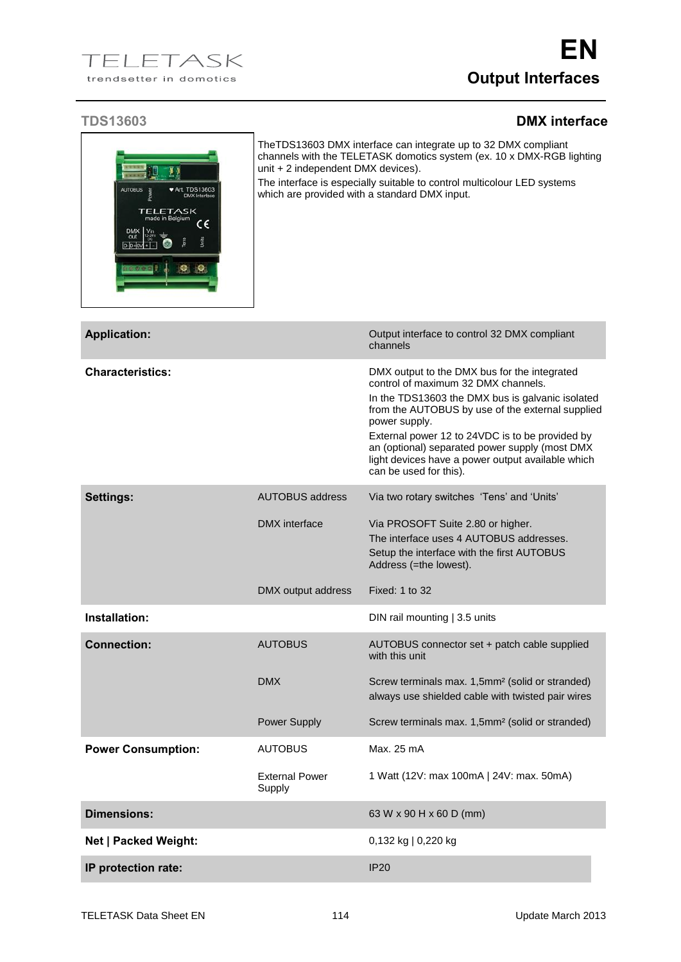## **TDS13603 DMX interface**

| <b>AUTOBUS</b><br>$\blacktriangleright$ Art. TDS13603<br><b>TELETASK</b><br>made in Belgium<br>c٤<br>$D - D + C$ | unit + 2 independent DMX devices).         | TheTDS13603 DMX interface can integrate up to 32 DMX compliant<br>channels with the TELETASK domotics system (ex. 10 x DMX-RGB lighting<br>The interface is especially suitable to control multicolour LED systems<br>which are provided with a standard DMX input.                                                                                                                              |  |
|------------------------------------------------------------------------------------------------------------------|--------------------------------------------|--------------------------------------------------------------------------------------------------------------------------------------------------------------------------------------------------------------------------------------------------------------------------------------------------------------------------------------------------------------------------------------------------|--|
| <b>Application:</b>                                                                                              |                                            | Output interface to control 32 DMX compliant<br>channels                                                                                                                                                                                                                                                                                                                                         |  |
| <b>Characteristics:</b>                                                                                          |                                            | DMX output to the DMX bus for the integrated<br>control of maximum 32 DMX channels.<br>In the TDS13603 the DMX bus is galvanic isolated<br>from the AUTOBUS by use of the external supplied<br>power supply.<br>External power 12 to 24VDC is to be provided by<br>an (optional) separated power supply (most DMX<br>light devices have a power output available which<br>can be used for this). |  |
| <b>Settings:</b>                                                                                                 | <b>AUTOBUS address</b>                     | Via two rotary switches 'Tens' and 'Units'                                                                                                                                                                                                                                                                                                                                                       |  |
|                                                                                                                  | <b>DMX</b> interface<br>DMX output address | Via PROSOFT Suite 2.80 or higher.<br>The interface uses 4 AUTOBUS addresses.<br>Setup the interface with the first AUTOBUS<br>Address (=the lowest).<br>Fixed: 1 to 32                                                                                                                                                                                                                           |  |
| Installation:                                                                                                    |                                            | DIN rail mounting   3.5 units                                                                                                                                                                                                                                                                                                                                                                    |  |
| <b>Connection:</b>                                                                                               | <b>AUTOBUS</b>                             | AUTOBUS connector set + patch cable supplied<br>with this unit                                                                                                                                                                                                                                                                                                                                   |  |
|                                                                                                                  | <b>DMX</b>                                 | Screw terminals max. 1,5mm <sup>2</sup> (solid or stranded)<br>always use shielded cable with twisted pair wires                                                                                                                                                                                                                                                                                 |  |
|                                                                                                                  | <b>Power Supply</b>                        | Screw terminals max. 1,5mm <sup>2</sup> (solid or stranded)                                                                                                                                                                                                                                                                                                                                      |  |
| <b>Power Consumption:</b>                                                                                        | <b>AUTOBUS</b>                             | Max. 25 mA                                                                                                                                                                                                                                                                                                                                                                                       |  |
|                                                                                                                  | <b>External Power</b><br>Supply            | 1 Watt (12V: max 100mA   24V: max. 50mA)                                                                                                                                                                                                                                                                                                                                                         |  |
| <b>Dimensions:</b>                                                                                               |                                            | 63 W x 90 H x 60 D (mm)                                                                                                                                                                                                                                                                                                                                                                          |  |
| <b>Net   Packed Weight:</b>                                                                                      |                                            | 0,132 kg   0,220 kg                                                                                                                                                                                                                                                                                                                                                                              |  |
| IP protection rate:                                                                                              |                                            | <b>IP20</b>                                                                                                                                                                                                                                                                                                                                                                                      |  |